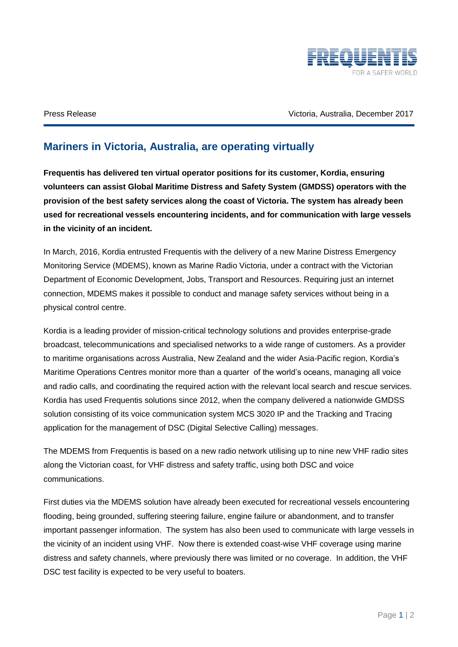

Press Release Victoria, Australia, December 2017

## **Mariners in Victoria, Australia, are operating virtually**

**Frequentis has delivered ten virtual operator positions for its customer, Kordia, ensuring volunteers can assist Global Maritime Distress and Safety System (GMDSS) operators with the provision of the best safety services along the coast of Victoria. The system has already been used for recreational vessels encountering incidents, and for communication with large vessels in the vicinity of an incident.**

In March, 2016, Kordia entrusted Frequentis with the delivery of a new Marine Distress Emergency Monitoring Service (MDEMS), known as Marine Radio Victoria, under a contract with the Victorian Department of Economic Development, Jobs, Transport and Resources. Requiring just an internet connection, MDEMS makes it possible to conduct and manage safety services without being in a physical control centre.

Kordia is a leading provider of mission-critical technology solutions and provides enterprise-grade broadcast, telecommunications and specialised networks to a wide range of customers. As a provider to maritime organisations across Australia, New Zealand and the wider Asia-Pacific region, Kordia's Maritime Operations Centres monitor more than a quarter of the world's oceans, managing all voice and radio calls, and coordinating the required action with the relevant local search and rescue services. Kordia has used Frequentis solutions since 2012, when the company delivered a nationwide GMDSS solution consisting of its voice communication system MCS 3020 IP and the Tracking and Tracing application for the management of DSC (Digital Selective Calling) messages.

The MDEMS from Frequentis is based on a new radio network utilising up to nine new VHF radio sites along the Victorian coast, for VHF distress and safety traffic, using both DSC and voice communications.

First duties via the MDEMS solution have already been executed for recreational vessels encountering flooding, being grounded, suffering steering failure, engine failure or abandonment, and to transfer important passenger information. The system has also been used to communicate with large vessels in the vicinity of an incident using VHF. Now there is extended coast-wise VHF coverage using marine distress and safety channels, where previously there was limited or no coverage. In addition, the VHF DSC test facility is expected to be very useful to boaters.